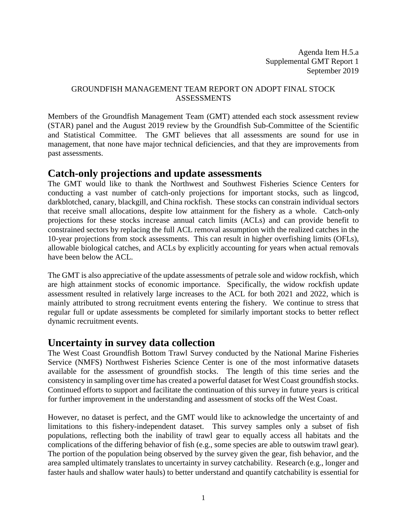Agenda Item H.5.a Supplemental GMT Report 1 September 2019

#### GROUNDFISH MANAGEMENT TEAM REPORT ON ADOPT FINAL STOCK **ASSESSMENTS**

Members of the Groundfish Management Team (GMT) attended each stock assessment review (STAR) panel and the August 2019 review by the Groundfish Sub-Committee of the Scientific and Statistical Committee. The GMT believes that all assessments are sound for use in management, that none have major technical deficiencies, and that they are improvements from past assessments.

#### **Catch-only projections and update assessments**

The GMT would like to thank the Northwest and Southwest Fisheries Science Centers for conducting a vast number of catch-only projections for important stocks, such as lingcod, darkblotched, canary, blackgill, and China rockfish. These stocks can constrain individual sectors that receive small allocations, despite low attainment for the fishery as a whole. Catch-only projections for these stocks increase annual catch limits (ACLs) and can provide benefit to constrained sectors by replacing the full ACL removal assumption with the realized catches in the 10-year projections from stock assessments. This can result in higher overfishing limits (OFLs), allowable biological catches, and ACLs by explicitly accounting for years when actual removals have been below the ACL.

The GMT is also appreciative of the update assessments of petrale sole and widow rockfish, which are high attainment stocks of economic importance. Specifically, the widow rockfish update assessment resulted in relatively large increases to the ACL for both 2021 and 2022, which is mainly attributed to strong recruitment events entering the fishery. We continue to stress that regular full or update assessments be completed for similarly important stocks to better reflect dynamic recruitment events.

## **Uncertainty in survey data collection**

The West Coast Groundfish Bottom Trawl Survey conducted by the National Marine Fisheries Service (NMFS) Northwest Fisheries Science Center is one of the most informative datasets available for the assessment of groundfish stocks. The length of this time series and the consistency in sampling over time has created a powerful dataset for West Coast groundfish stocks. Continued efforts to support and facilitate the continuation of this survey in future years is critical for further improvement in the understanding and assessment of stocks off the West Coast.

However, no dataset is perfect, and the GMT would like to acknowledge the uncertainty of and limitations to this fishery-independent dataset. This survey samples only a subset of fish populations, reflecting both the inability of trawl gear to equally access all habitats and the complications of the differing behavior of fish (e.g., some species are able to outswim trawl gear). The portion of the population being observed by the survey given the gear, fish behavior, and the area sampled ultimately translates to uncertainty in survey catchability. Research (e.g., longer and faster hauls and shallow water hauls) to better understand and quantify catchability is essential for